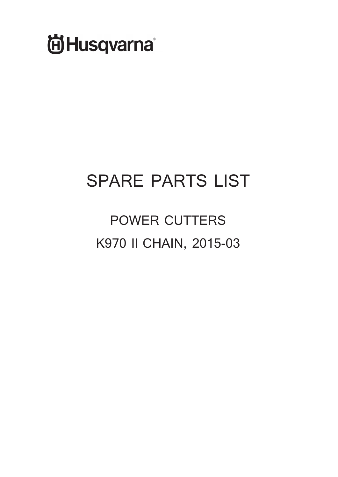

# **SPARE PARTS LIST**

**POWER CUTTERS K970 II CHAIN, 2015-03**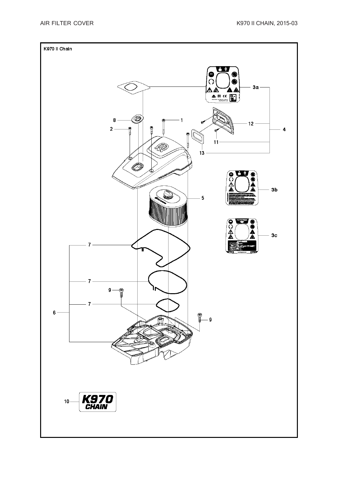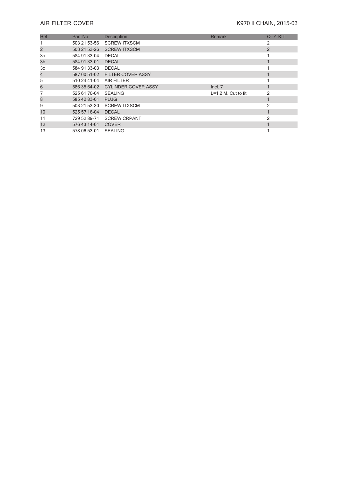## **AIR FILTER COVER AIR** FILTER COVER

| Ref | Part No                 | <b>Description</b>               | <b>Remark</b>         | <b>QTY KIT</b> |
|-----|-------------------------|----------------------------------|-----------------------|----------------|
|     | 503 21 53-56            | <b>SCREW ITXSCM</b>              |                       | 2              |
| 2   | 503 21 53-26            | <b>SCREW ITXSCM</b>              |                       | $\overline{2}$ |
| 3a  | 584 91 33-04            | <b>DECAL</b>                     |                       |                |
| 3b  | 584 91 33-01            | <b>DECAL</b>                     |                       |                |
| 3c  | 584 91 33-03            | <b>DECAL</b>                     |                       |                |
| 4   |                         | 587 00 51-02 FILTER COVER ASSY   |                       |                |
| 5   | 510 24 41-04 AIR FILTER |                                  |                       |                |
| 6   |                         | 586 35 64-02 CYLINDER COVER ASSY | Incl. 7               |                |
|     | 525 61 70-04            | <b>SEALING</b>                   | $L=1.2$ M. Cut to fit | $\mathfrak{p}$ |
| 8   | 585 42 83-01            | PLUG                             |                       |                |
| 9   |                         | 503 21 53-30 SCREW ITXSCM        |                       | 2              |
| 10  | 525 57 16-04            | <b>DECAL</b>                     |                       |                |
| 11  |                         | 729 52 89-71 SCREW CRPANT        |                       | 2              |
| 12  | 576 43 14-01            | <b>COVER</b>                     |                       |                |
| 13  | 578 06 53-01            | <b>SEALING</b>                   |                       |                |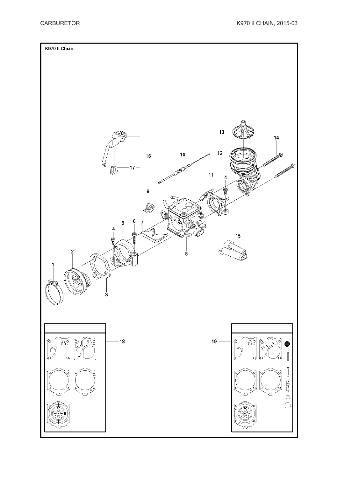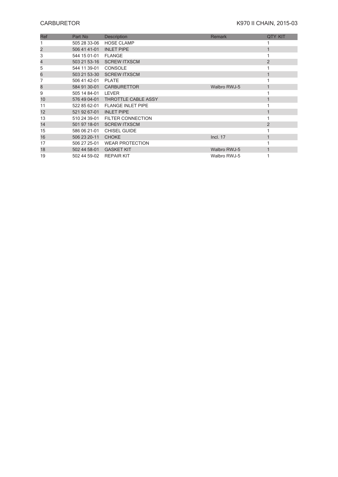# **CARBURETOR** K970 II CHAIN, 2015-03

| Ref | Part No                 | <b>Description</b>       | <b>Remark</b>       | <b>QTY KIT</b> |
|-----|-------------------------|--------------------------|---------------------|----------------|
|     | 505 28 33-06            | <b>HOSE CLAMP</b>        |                     |                |
| 2   | 506 41 41-01            | <b>INLET PIPE</b>        |                     |                |
| 3   | 544 15 01-01            | <b>FLANGE</b>            |                     |                |
| 4   | 503 21 53-16            | <b>SCREW ITXSCM</b>      |                     | $\overline{2}$ |
| 5   | 544 11 39-01            | <b>CONSOLE</b>           |                     |                |
| 6   | 503 21 53-30            | <b>SCREW ITXSCM</b>      |                     |                |
|     | 506 41 42-01            | <b>PLATE</b>             |                     |                |
| 8   |                         | 584 91 30-01 CARBURETTOR | <b>Walbro RWJ-5</b> |                |
| 9   | 505 14 84-01            | LEVER                    |                     |                |
| 10  | 576 49 04-01            | THROTTLE CABLE ASSY      |                     |                |
| 11  | 522 85 62-01            | <b>FLANGE INLET PIPE</b> |                     |                |
| 12  | 521 92 67-01            | <b>INLET PIPE</b>        |                     |                |
| 13  | 510 24 39-01            | <b>FILTER CONNECTION</b> |                     |                |
| 14  | 501 97 18-01            | <b>SCREW ITXSCM</b>      |                     | $\overline{2}$ |
| 15  | 586 06 21-01            | <b>CHISEL GUIDE</b>      |                     |                |
| 16  | 506 23 20-11            | <b>CHOKE</b>             | Incl. 17            |                |
| 17  | 506 27 25-01            | <b>WEAR PROTECTION</b>   |                     |                |
| 18  | 502 44 58-01            | <b>GASKET KIT</b>        | Walbro RWJ-5        |                |
| 19  | 502 44 59-02 REPAIR KIT |                          | Walbro RWJ-5        |                |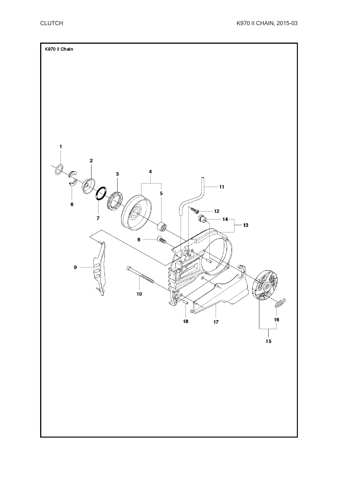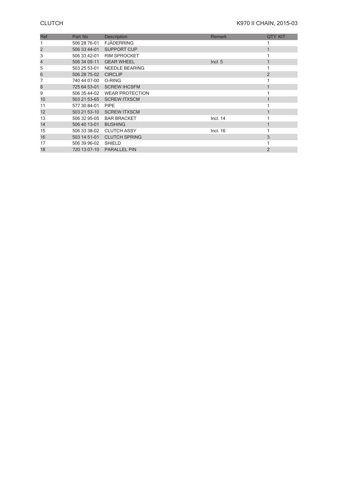| Ref | Part No      | Description            | <b>Remark</b> | <b>QTY KIT</b> |
|-----|--------------|------------------------|---------------|----------------|
|     | 506 28 76-01 | <b>FJÄDERRING</b>      |               |                |
| 2   | 506 33 44-01 | SUPPORT CUP            |               |                |
| 3   | 506 33 42-01 | <b>RIM SPROCKET</b>    |               |                |
| 4   | 506 34 09-11 | <b>GEAR WHEEL</b>      | Incl. 5       |                |
| 5   | 503 25 53-01 | <b>NEEDLE BEARING</b>  |               |                |
| 6   | 506 28 75-02 | <b>CIRCLIP</b>         |               | $\overline{2}$ |
| 7   | 740 44 07-00 | O-RING                 |               |                |
| 8   | 725 64 53-01 | <b>SCREW IHCSFM</b>    |               |                |
| 9   | 506 35 44-02 | <b>WEAR PROTECTION</b> |               |                |
| 10  | 503 21 53-65 | <b>SCREW ITXSCM</b>    |               |                |
| 11  | 577 30 84-01 | <b>PIPE</b>            |               |                |
| 12  | 503 21 53-10 | <b>SCREW ITXSCM</b>    |               |                |
| 13  | 506 32 95-05 | <b>BAR BRACKET</b>     | Incl. 14      |                |
| 14  | 506 40 13-01 | <b>BUSHING</b>         |               |                |
| 15  | 506 33 38-02 | <b>CLUTCH ASSY</b>     | Incl. 16      |                |
| 16  | 503 14 51-01 | <b>CLUTCH SPRING</b>   |               | 3              |
| 17  | 506 39 96-02 | <b>SHIELD</b>          |               |                |
| 18  | 720 13 07-10 | <b>PARALLEL PIN</b>    |               | 2              |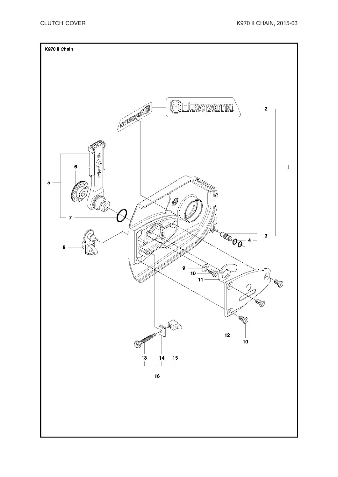![](_page_7_Figure_2.jpeg)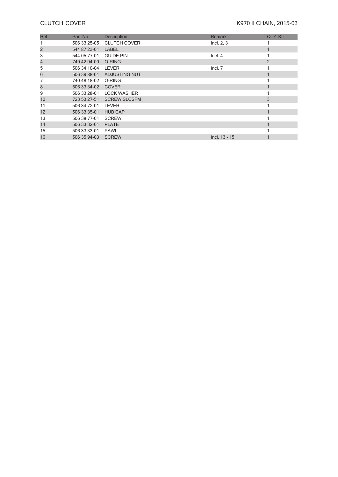## **CLUTCH COVER COVER COVER COVER K970 II CHAIN, 2015-03**

| Ref | Part No            | <b>Description</b>  | <b>Remark</b>   | <b>QTY KIT</b> |
|-----|--------------------|---------------------|-----------------|----------------|
|     | 506 33 25-05       | <b>CLUTCH COVER</b> | Incl. 2, 3      |                |
| 2   | 544 87 23-01       | LABEL               |                 |                |
| 3   | 544 05 77-01       | <b>GUIDE PIN</b>    | Incl. 4         |                |
| 4   | 740 42 04-00       | O-RING              |                 | $\overline{2}$ |
| 5   | 506 34 10-04       | LEVER               | Incl. 7         |                |
| 6   | 506 39 88-01       | ADJUSTING NUT       |                 |                |
|     | 740 48 18-02       | O-RING              |                 |                |
| 8   | 506 33 34-02       | <b>COVER</b>        |                 |                |
| 9   | 506 33 28-01       | <b>LOCK WASHER</b>  |                 |                |
| 10  | 723 53 27-51       | <b>SCREW SLCSFM</b> |                 | 3              |
| 11  | 506 34 72-01       | LEVER               |                 |                |
| 12  | 506 33 35-01       | <b>HUB CAP</b>      |                 |                |
| 13  | 506 38 77-01       | <b>SCREW</b>        |                 |                |
| 14  | 506 33 32-01       | <b>PLATE</b>        |                 |                |
| 15  | 506 33 33-01       | <b>PAWL</b>         |                 |                |
| 16  | 506 35 94-03 SCREW |                     | $Incl. 13 - 15$ |                |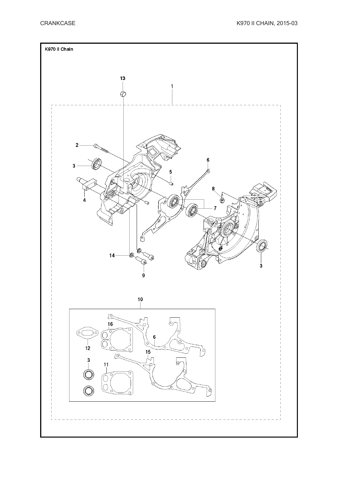![](_page_9_Figure_2.jpeg)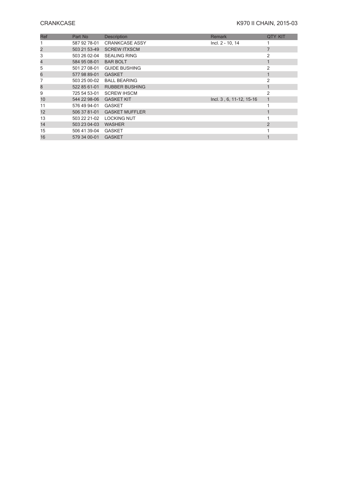## **CRANKCASE** K970 II CHAIN, 2015-03

| Ref | Part No      | <b>Description</b>          | <b>Remark</b>            | <b>QTY KIT</b> |
|-----|--------------|-----------------------------|--------------------------|----------------|
|     | 587 92 78-01 | <b>CRANKCASE ASSY</b>       | Incl. 2 - 10, 14         |                |
| 2   | 503 21 53-49 | <b>SCREW ITXSCM</b>         |                          |                |
| 3   | 503 26 02-04 | <b>SEALING RING</b>         |                          | $\overline{2}$ |
| 4   | 584 95 08-01 | <b>BAR BOLT</b>             |                          |                |
| 5   | 501 27 08-01 | <b>GUIDE BUSHING</b>        |                          | $\overline{2}$ |
| 6   | 577 98 89-01 | <b>GASKET</b>               |                          |                |
|     | 503 25 00-02 | <b>BALL BEARING</b>         |                          | $\mathfrak{D}$ |
| 8   | 522 85 61-01 | <b>RUBBER BUSHING</b>       |                          |                |
| 9   | 725 54 53-01 | <b>SCREW IHSCM</b>          |                          | $\overline{2}$ |
| 10  | 544 22 98-06 | <b>GASKET KIT</b>           | Incl. 3, 6, 11-12, 15-16 |                |
| 11  | 576 49 94-01 | <b>GASKET</b>               |                          |                |
| 12  |              | 506 37 81-01 GASKET MUFFLER |                          |                |
| 13  | 503 22 21-02 | <b>LOCKING NUT</b>          |                          |                |
| 14  | 503 23 04-03 | <b>WASHER</b>               |                          | 2              |
| 15  | 506 41 39-04 | <b>GASKET</b>               |                          |                |
| 16  | 579 34 00-01 | <b>GASKET</b>               |                          |                |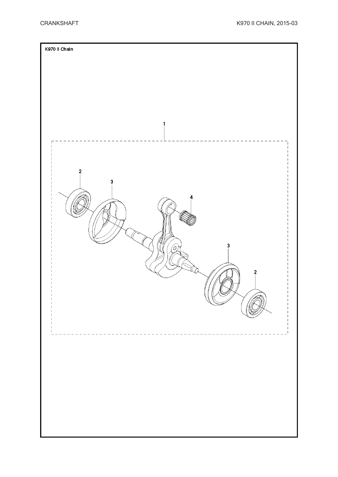![](_page_11_Figure_2.jpeg)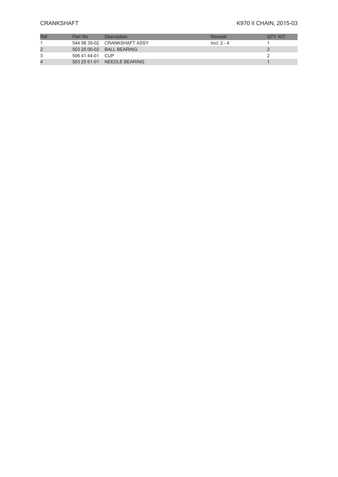### **CRANKSHAFT** K970 II CHAIN, 2015-03

| Part No          | <b>Description</b>           | Remark        | OTY KIT |
|------------------|------------------------------|---------------|---------|
|                  | 544 98 39-02 CRANKSHAFT ASSY | $Incl. 2 - 4$ |         |
|                  | 503 25 00-02 BALL BEARING    |               |         |
| 506 41 44-01 CUP |                              |               |         |
|                  | 503 25 61-01 NEEDLE BEARING  |               |         |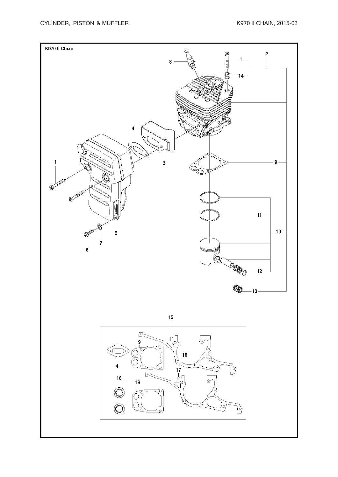![](_page_13_Figure_2.jpeg)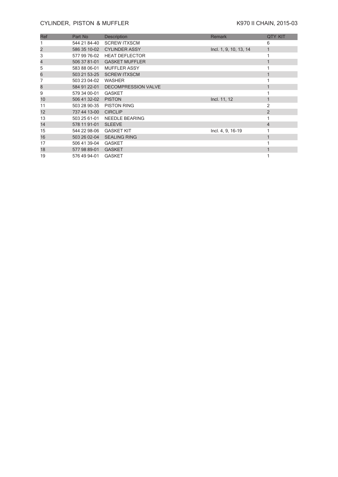### **CYLINDER, PISTON & MUFFLER** K970 II CHAIN, 2015-03

| Ref            | Part No      | <b>Description</b>               | <b>Remark</b>          | <b>QTY KIT</b> |
|----------------|--------------|----------------------------------|------------------------|----------------|
|                | 544 21 84-40 | <b>SCREW ITXSCM</b>              |                        | 6              |
| $\overline{c}$ |              | 586 35 10-02 CYLINDER ASSY       | Incl. 1, 9, 10, 13, 14 |                |
| 3              | 577 99 76-02 | <b>HEAT DEFLECTOR</b>            |                        |                |
| 4              | 506 37 81-01 | <b>GASKET MUFFLER</b>            |                        |                |
| 5              | 583 88 06-01 | <b>MUFFLER ASSY</b>              |                        |                |
| 6              |              | 503 21 53-25 SCREW ITXSCM        |                        |                |
|                | 503 23 04-02 | <b>WASHER</b>                    |                        |                |
| 8              |              | 584 91 22-01 DECOMPRESSION VALVE |                        | 1              |
| 9              | 579 34 00-01 | <b>GASKET</b>                    |                        |                |
| 10             | 506 41 32-02 | <b>PISTON</b>                    | Incl. 11, 12           |                |
| 11             | 503 28 90-35 | <b>PISTON RING</b>               |                        | 2              |
| 12             | 737 44 13-00 | <b>CIRCLIP</b>                   |                        | $\overline{2}$ |
| 13             | 503 25 61-01 | NEEDLE BEARING                   |                        |                |
| 14             | 578 11 91-01 | <b>SLEEVE</b>                    |                        | 4              |
| 15             | 544 22 98-06 | <b>GASKET KIT</b>                | Incl. 4, 9, 16-19      |                |
| 16             | 503 26 02-04 | <b>SEALING RING</b>              |                        |                |
| 17             | 506 41 39-04 | <b>GASKET</b>                    |                        |                |
| 18             | 577 98 89-01 | <b>GASKET</b>                    |                        |                |
| 19             | 576 49 94-01 | <b>GASKET</b>                    |                        |                |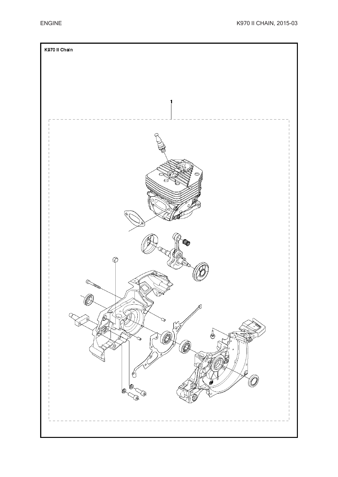![](_page_15_Figure_2.jpeg)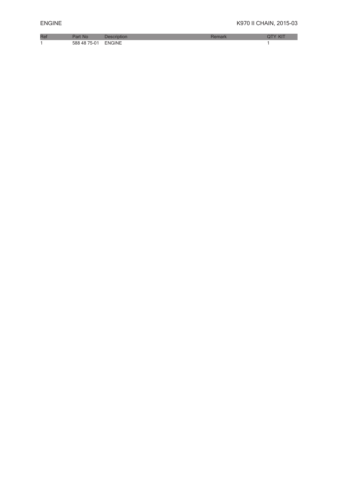| D <sub>e</sub><br>Rei | NK                                       |        |  |
|-----------------------|------------------------------------------|--------|--|
|                       | $\sim$<br>588<br>$^{\circ}$ h $^{\circ}$ | ENGINE |  |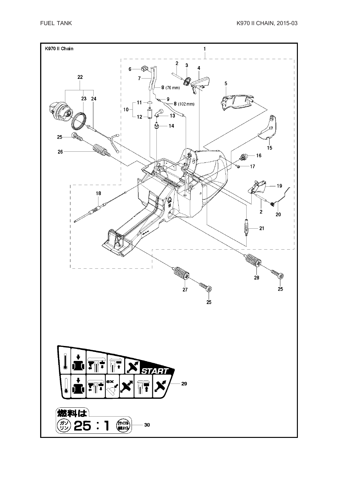![](_page_17_Figure_2.jpeg)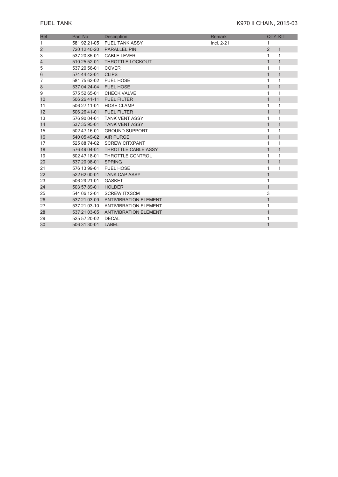| Ref                     | Part No      | <b>Description</b>           | Remark     |              | <b>QTY KIT</b> |
|-------------------------|--------------|------------------------------|------------|--------------|----------------|
| 1                       | 581 92 21-05 | <b>FUEL TANK ASSY</b>        | Incl. 2-21 | 1            |                |
| $\overline{\mathbf{c}}$ | 720 12 40-20 | <b>PARALLEL PIN</b>          |            | 2            | $\mathbf{1}$   |
| 3                       | 537 20 85-01 | <b>CABLE LEVER</b>           |            | 1            | $\mathbf{1}$   |
| 4                       | 510 25 52-01 | THROTTLE LOCKOUT             |            | $\mathbf{1}$ | $\mathbf{1}$   |
| 5                       | 537 20 56-01 | <b>COVER</b>                 |            | 1            | $\mathbf{1}$   |
| 6                       | 574 44 42-01 | <b>CLIPS</b>                 |            | $\mathbf{1}$ | $\mathbf{1}$   |
| 7                       | 581 75 62-02 | <b>FUEL HOSE</b>             |            | 1            | 1              |
| 8                       | 537 04 24-04 | <b>FUEL HOSE</b>             |            | $\mathbf{1}$ | $\mathbf{1}$   |
| 9                       | 575 52 65-01 | <b>CHECK VALVE</b>           |            | 1            | 1              |
| 10                      | 506 26 41-11 | <b>FUEL FILTER</b>           |            | $\mathbf{1}$ | $\mathbf{1}$   |
| 11                      | 506 27 11-01 | <b>HOSE CLAMP</b>            |            | 1            | 1              |
| 12                      | 506 26 41-01 | <b>FUEL FILTER</b>           |            | $\mathbf{1}$ | $\mathbf{1}$   |
| 13                      | 576 90 04-01 | <b>TANK VENT ASSY</b>        |            | $\mathbf{1}$ | 1              |
| 14                      | 537 35 95-01 | <b>TANK VENT ASSY</b>        |            | $\mathbf{1}$ | $\mathbf{1}$   |
| 15                      | 502 47 16-01 | <b>GROUND SUPPORT</b>        |            | 1            | 1              |
| 16                      | 540 05 49-02 | <b>AIR PURGE</b>             |            | $\mathbf{1}$ | $\mathbf{1}$   |
| 17                      | 525 88 74-02 | <b>SCREW CITXPANT</b>        |            | 1            | 1              |
| 18                      | 576 49 04-01 | <b>THROTTLE CABLE ASSY</b>   |            | $\mathbf{1}$ | $\mathbf{1}$   |
| 19                      | 502 47 18-01 | <b>THROTTLE CONTROL</b>      |            | 1            | 1              |
| 20                      | 537 20 98-01 | <b>SPRING</b>                |            | $\mathbf{1}$ | $\mathbf{1}$   |
| 21                      | 576 13 99-01 | <b>FUEL HOSE</b>             |            | 1            | 1              |
| 22                      | 522 62 00-01 | <b>TANK CAP ASSY</b>         |            | $\mathbf{1}$ |                |
| 23                      | 506 29 21-01 | <b>GASKET</b>                |            | 1            |                |
| 24                      | 503 57 89-01 | <b>HOLDER</b>                |            | $\mathbf{1}$ |                |
| 25                      | 544 06 12-01 | <b>SCREW ITXSCM</b>          |            | 3            |                |
| 26                      | 537 21 03-09 | <b>ANTIVIBRATION ELEMENT</b> |            | $\mathbf{1}$ |                |
| 27                      | 537 21 03-10 | <b>ANTIVIBRATION ELEMENT</b> |            | $\mathbf{1}$ |                |
| 28                      | 537 21 03-05 | <b>ANTIVIBRATION ELEMENT</b> |            | $\mathbf{1}$ |                |
| 29                      | 525 57 20-02 | <b>DECAL</b>                 |            | 1            |                |
| 30                      | 506 31 30-01 | <b>LABEL</b>                 |            | $\mathbf{1}$ |                |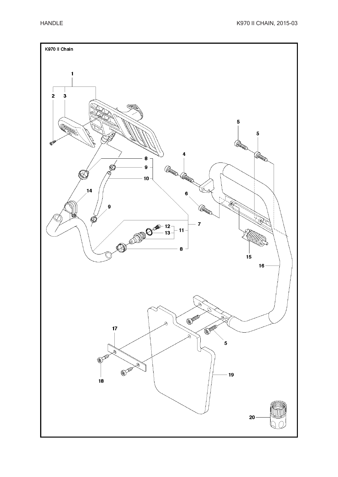![](_page_19_Figure_2.jpeg)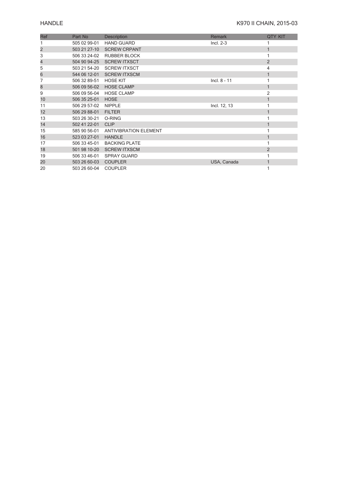# **HANDLE** K970 II CHAIN, 2015-03

| Ref | Part No      | Description                  | <b>Remark</b>  | <b>QTY KIT</b> |
|-----|--------------|------------------------------|----------------|----------------|
|     | 505 02 99-01 | <b>HAND GUARD</b>            | $Incl. 2-3$    |                |
| 2   | 503 21 27-10 | <b>SCREW CRPANT</b>          |                |                |
| 3   | 506 33 24-02 | <b>RUBBER BLOCK</b>          |                |                |
| 4   | 504 90 94-25 | <b>SCREW ITXSCT</b>          |                | $\overline{2}$ |
| 5   | 503 21 54-20 | <b>SCREW ITXSCT</b>          |                | 4              |
| 6   | 544 06 12-01 | <b>SCREW ITXSCM</b>          |                | $\mathbf{1}$   |
| 7   | 506 32 89-51 | <b>HOSE KIT</b>              | $Incl. 8 - 11$ |                |
| 8   | 506 09 56-02 | <b>HOSE CLAMP</b>            |                | 1              |
| 9   | 506 09 56-04 | <b>HOSE CLAMP</b>            |                | 2              |
| 10  | 506 35 25-01 | <b>HOSE</b>                  |                | 1              |
| 11  | 506 29 57-02 | <b>NIPPLE</b>                | Incl. 12, 13   |                |
| 12  | 506 29 88-01 | <b>FILTER</b>                |                | 1              |
| 13  | 503 26 30-21 | O-RING                       |                |                |
| 14  | 502 41 22-01 | <b>CLIP</b>                  |                |                |
| 15  | 585 90 56-01 | <b>ANTIVIBRATION ELEMENT</b> |                |                |
| 16  | 523 03 27-01 | <b>HANDLE</b>                |                |                |
| 17  | 506 33 45-01 | <b>BACKING PLATE</b>         |                |                |
| 18  | 501 98 10-20 | <b>SCREW ITXSCM</b>          |                | $\overline{2}$ |
| 19  | 506 33 46-01 | <b>SPRAY GUARD</b>           |                |                |
| 20  | 503 26 60-03 | <b>COUPLER</b>               | USA, Canada    | 1              |
| 20  | 503 26 60-04 | <b>COUPLER</b>               |                |                |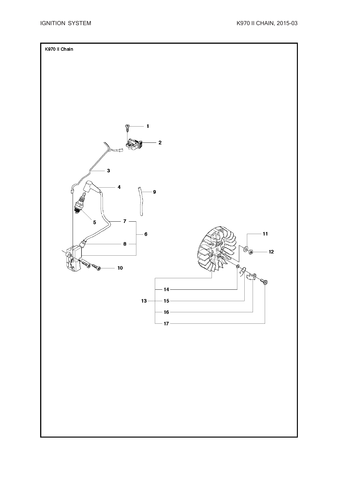![](_page_21_Figure_2.jpeg)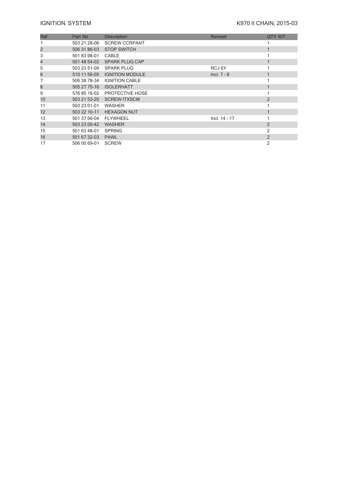# **IGNITION SYSTEM K970 II CHAIN, 2015-03**

| Ref | Part No      | <b>Description</b>          | <b>Remark</b> | <b>QTY KIT</b> |
|-----|--------------|-----------------------------|---------------|----------------|
|     | 503 21 28-06 | <b>SCREW CCRPANT</b>        |               |                |
| 2   | 506 31 86-03 | <b>STOP SWITCH</b>          |               |                |
| 3   | 501 83 98-01 | CABLE                       |               |                |
| 4   | 501 48 54-02 | <b>SPARK PLUG CAP</b>       |               |                |
| 5   | 503 23 51-09 | <b>SPARK PLUG</b>           | RCJ 6Y        |                |
| 6   | 510 11 56-05 | <b>IGNITION MODULE</b>      | $Incl. 7 - 8$ |                |
|     |              | 506 38 78-34 IGNITION CABLE |               |                |
| 8   | 505 27 75-16 | <b>ISOLERHATT</b>           |               |                |
| 9   | 576 85 16-02 | PROTECTIVE HOSE             |               |                |
| 10  | 503 21 53-20 | <b>SCREW ITXSCM</b>         |               | $\overline{2}$ |
| 11  | 503 23 01-01 | WASHER                      |               |                |
| 12  | 503 22 10-11 | <b>HEXAGON NUT</b>          |               |                |
| 13  | 501 37 56-04 | <b>FLYWHEEL</b>             | Incl. 14 - 17 |                |
| 14  | 503 23 00-42 | <b>WASHER</b>               |               | $\overline{2}$ |
| 15  | 501 63 48-01 | <b>SPRING</b>               |               | 2              |
| 16  | 501 67 32-03 | <b>PAWL</b>                 |               | $\overline{2}$ |
| 17  | 506 00 69-01 | <b>SCREW</b>                |               | 2              |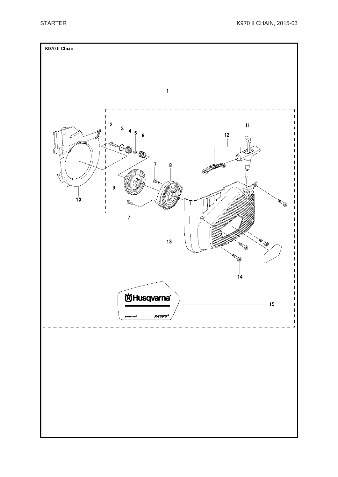![](_page_23_Figure_2.jpeg)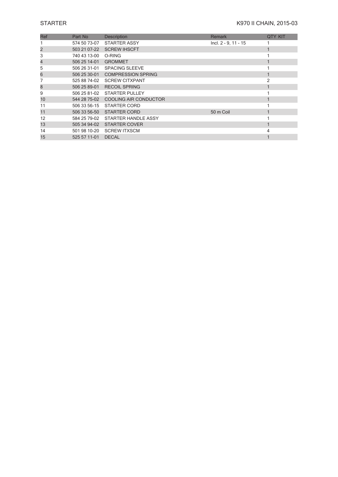| Ref | Part No      | Description                        | <b>Remark</b>        | <b>QTY KIT</b> |
|-----|--------------|------------------------------------|----------------------|----------------|
|     | 574 50 73-07 | <b>STARTER ASSY</b>                | Incl. 2 - 9, 11 - 15 |                |
| 2   | 503 21 07-22 | <b>SCREW IHSCFT</b>                |                      |                |
| 3   | 740 43 13-00 | O-RING                             |                      |                |
| 4   | 506 25 14-01 | <b>GROMMET</b>                     |                      |                |
| 5   |              | 506 26 31-01 SPACING SLEEVE        |                      |                |
| 6   |              | 506 25 30-01 COMPRESSION SPRING    |                      |                |
|     | 525 88 74-02 | <b>SCREW CITXPANT</b>              |                      |                |
| 8   |              | 506 25 89-01 RECOIL SPRING         |                      |                |
| 9   | 506 25 81-02 | <b>STARTER PULLEY</b>              |                      |                |
| 10  |              | 544 28 75-02 COOLING AIR CONDUCTOR |                      |                |
| 11  |              | 506 33 56-15 STARTER CORD          |                      |                |
| 11  |              | 506 33 56-50 STARTER CORD          | 50 m Coil            |                |
| 12  |              | 584 25 79-02 STARTER HANDLE ASSY   |                      |                |
| 13  |              | 505 34 94-02 STARTER COVER         |                      |                |
| 14  | 501 98 10-20 | <b>SCREW ITXSCM</b>                |                      | 4              |
| 15  | 525 57 11-01 | <b>DECAL</b>                       |                      |                |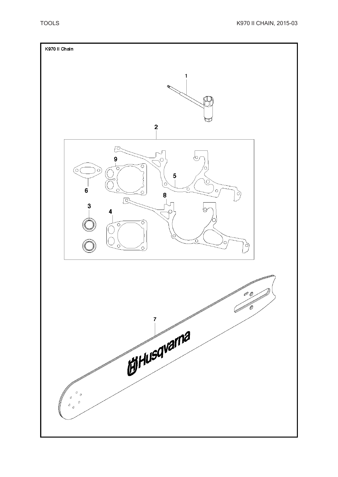![](_page_25_Figure_2.jpeg)